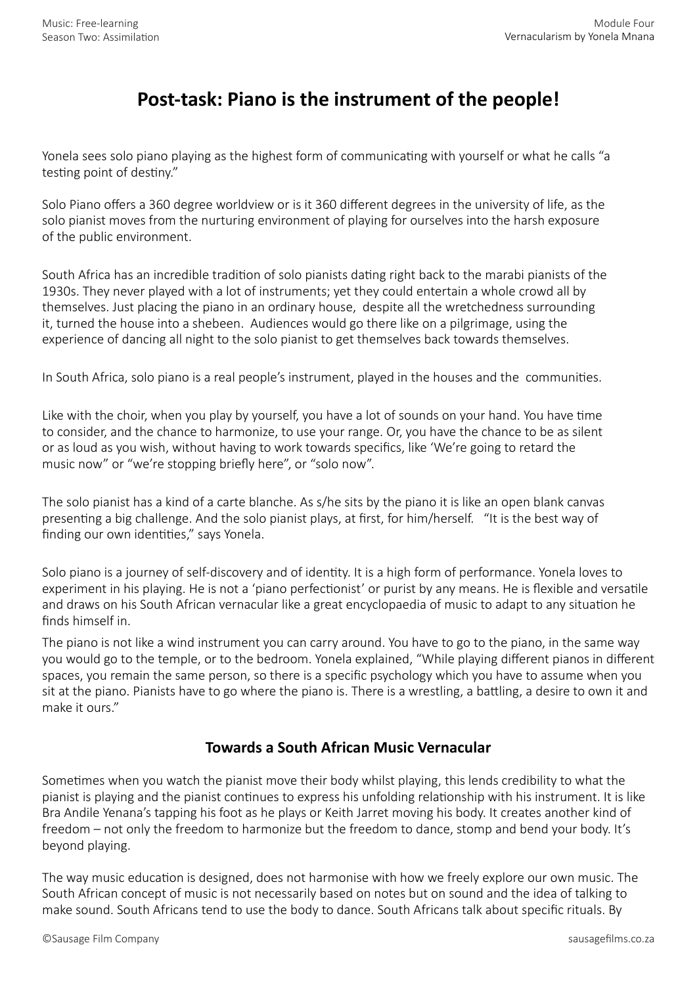## **Post-task: Piano is the instrument of the people!**

Yonela sees solo piano playing as the highest form of communicating with yourself or what he calls "a testing point of destiny."

Solo Piano offers a 360 degree worldview or is it 360 different degrees in the university of life, as the solo pianist moves from the nurturing environment of playing for ourselves into the harsh exposure of the public environment.

South Africa has an incredible tradition of solo pianists dating right back to the marabi pianists of the 1930s. They never played with a lot of instruments; yet they could entertain a whole crowd all by themselves. Just placing the piano in an ordinary house, despite all the wretchedness surrounding it, turned the house into a shebeen. Audiences would go there like on a pilgrimage, using the experience of dancing all night to the solo pianist to get themselves back towards themselves.

In South Africa, solo piano is a real people's instrument, played in the houses and the communities.

Like with the choir, when you play by yourself, you have a lot of sounds on your hand. You have time to consider, and the chance to harmonize, to use your range. Or, you have the chance to be as silent or as loud as you wish, without having to work towards specifics, like 'We're going to retard the music now" or "we're stopping briefly here", or "solo now".

The solo pianist has a kind of a carte blanche. As s/he sits by the piano it is like an open blank canvas presenting a big challenge. And the solo pianist plays, at first, for him/herself. "It is the best way of finding our own identities," says Yonela.

Solo piano is a journey of self-discovery and of identity. It is a high form of performance. Yonela loves to experiment in his playing. He is not a 'piano perfectionist' or purist by any means. He is flexible and versatile and draws on his South African vernacular like a great encyclopaedia of music to adapt to any situation he finds himself in.

The piano is not like a wind instrument you can carry around. You have to go to the piano, in the same way you would go to the temple, or to the bedroom. Yonela explained, "While playing different pianos in different spaces, you remain the same person, so there is a specific psychology which you have to assume when you sit at the piano. Pianists have to go where the piano is. There is a wrestling, a battling, a desire to own it and make it ours."

## **Towards a South African Music Vernacular**

Sometimes when you watch the pianist move their body whilst playing, this lends credibility to what the pianist is playing and the pianist continues to express his unfolding relationship with his instrument. It is like Bra Andile Yenana's tapping his foot as he plays or Keith Jarret moving his body. It creates another kind of freedom – not only the freedom to harmonize but the freedom to dance, stomp and bend your body. It's beyond playing.

The way music education is designed, does not harmonise with how we freely explore our own music. The South African concept of music is not necessarily based on notes but on sound and the idea of talking to make sound. South Africans tend to use the body to dance. South Africans talk about specific rituals. By